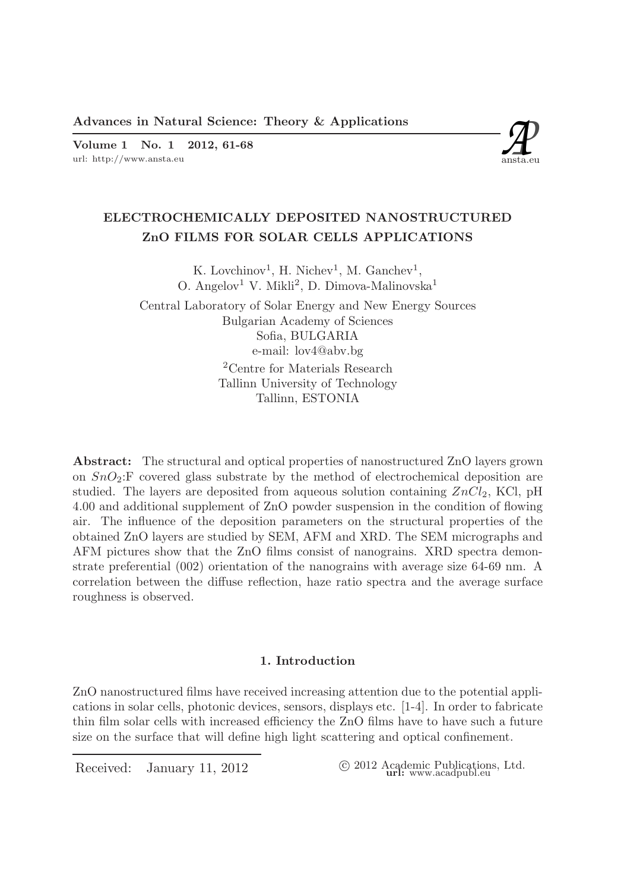Advances in Natural Science: Theory & Applications<br>
Volume 1 No. 1 2012, 61-68<br>
url: http://www.ansta.eu ansta.eu Volume 1 No. 1 2012, 61-68



# ELECTROCHEMICALLY DEPOSITED NANOSTRUCTURED ZnO FILMS FOR SOLAR CELLS APPLICATIONS

K. Lovchinov<sup>1</sup>, H. Nichev<sup>1</sup>, M. Ganchev<sup>1</sup>, O. Angelov<sup>1</sup> V. Mikli<sup>2</sup>, D. Dimova-Malinovska<sup>1</sup>

Central Laboratory of Solar Energy and New Energy Sources Bulgarian Academy of Sciences Sofia, BULGARIA e-mail: lov4@abv.bg <sup>2</sup>Centre for Materials Research Tallinn University of Technology Tallinn, ESTONIA

Abstract: The structural and optical properties of nanostructured ZnO layers grown on  $SnO_2:$  F covered glass substrate by the method of electrochemical deposition are studied. The layers are deposited from aqueous solution containing  $ZnCl_2$ , KCl, pH 4.00 and additional supplement of ZnO powder suspension in the condition of flowing air. The influence of the deposition parameters on the structural properties of the obtained ZnO layers are studied by SEM, AFM and XRD. The SEM micrographs and AFM pictures show that the ZnO films consist of nanograins. XRD spectra demonstrate preferential (002) orientation of the nanograins with average size 64-69 nm. A correlation between the diffuse reflection, haze ratio spectra and the average surface roughness is observed.

### 1. Introduction

ZnO nanostructured films have received increasing attention due to the potential applications in solar cells, photonic devices, sensors, displays etc. [1-4]. In order to fabricate thin film solar cells with increased efficiency the ZnO films have to have such a future size on the surface that will define high light scattering and optical confinement.

Received: January 11, 2012 (2012 Academic Publications, Ltd. url: www.acadpubl.eu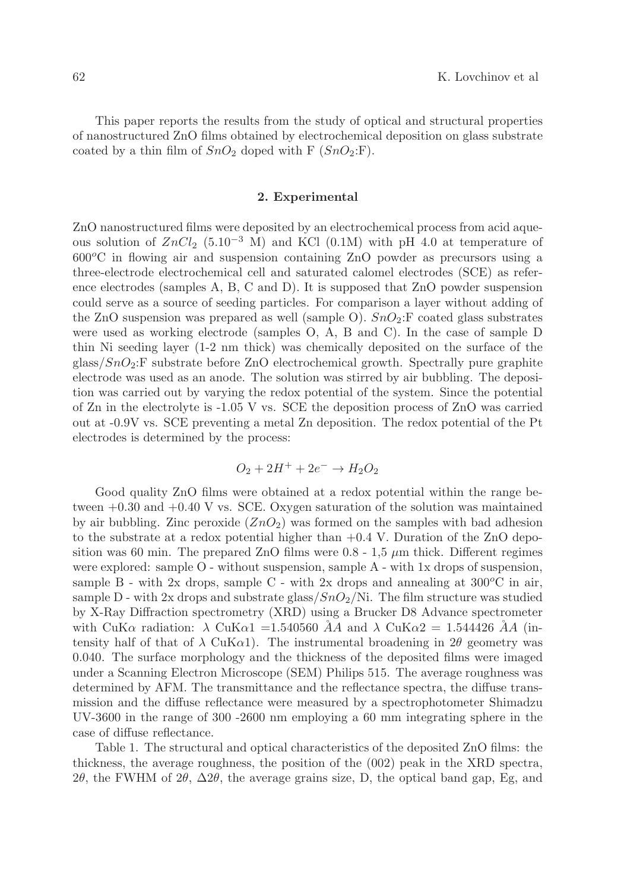This paper reports the results from the study of optical and structural properties of nanostructured ZnO films obtained by electrochemical deposition on glass substrate coated by a thin film of  $SnO_2$  doped with F  $(SnO_2:$ F).

#### 2. Experimental

ZnO nanostructured films were deposited by an electrochemical process from acid aqueous solution of  $ZnCl_2$  (5.10<sup>-3</sup> M) and KCl (0.1M) with pH 4.0 at temperature of  $600^{\circ}$ C in flowing air and suspension containing ZnO powder as precursors using a three-electrode electrochemical cell and saturated calomel electrodes (SCE) as reference electrodes (samples A, B, C and D). It is supposed that ZnO powder suspension could serve as a source of seeding particles. For comparison a layer without adding of the ZnO suspension was prepared as well (sample O).  $SnO_2$ : F coated glass substrates were used as working electrode (samples O, A, B and C). In the case of sample D thin Ni seeding layer (1-2 nm thick) was chemically deposited on the surface of the  $g$ lass/ $SnO<sub>2</sub>:$ F substrate before ZnO electrochemical growth. Spectrally pure graphite electrode was used as an anode. The solution was stirred by air bubbling. The deposition was carried out by varying the redox potential of the system. Since the potential of Zn in the electrolyte is -1.05 V vs. SCE the deposition process of ZnO was carried out at -0.9V vs. SCE preventing a metal Zn deposition. The redox potential of the Pt electrodes is determined by the process:

$$
O_2 + 2H^+ + 2e^- \rightarrow H_2O_2
$$

Good quality ZnO films were obtained at a redox potential within the range between +0.30 and +0.40 V vs. SCE. Oxygen saturation of the solution was maintained by air bubbling. Zinc peroxide  $(ZnO<sub>2</sub>)$  was formed on the samples with bad adhesion to the substrate at a redox potential higher than  $+0.4$  V. Duration of the ZnO deposition was 60 min. The prepared  $ZnO$  films were 0.8 - 1.5  $\mu$ m thick. Different regimes were explored: sample O - without suspension, sample A - with 1x drops of suspension, sample B - with 2x drops, sample C - with 2x drops and annealing at  $300^{\circ}$ C in air, sample D - with 2x drops and substrate glass/ $SnO_2/Ni$ . The film structure was studied by X-Ray Diffraction spectrometry (XRD) using a Brucker D8 Advance spectrometer with CuK $\alpha$  radiation:  $\lambda$  CuK $\alpha$ 1 = 1.540560  $\AA$  and  $\lambda$  CuK $\alpha$ 2 = 1.544426  $\AA$  (intensity half of that of  $\lambda$  CuK $\alpha$ 1). The instrumental broadening in 2 $\theta$  geometry was 0.040. The surface morphology and the thickness of the deposited films were imaged under a Scanning Electron Microscope (SEM) Philips 515. The average roughness was determined by AFM. The transmittance and the reflectance spectra, the diffuse transmission and the diffuse reflectance were measured by a spectrophotometer Shimadzu UV-3600 in the range of 300 -2600 nm employing a 60 mm integrating sphere in the case of diffuse reflectance.

Table 1. The structural and optical characteristics of the deposited ZnO films: the thickness, the average roughness, the position of the (002) peak in the XRD spectra, 2θ, the FWHM of 2θ,  $\Delta 2\theta$ , the average grains size, D, the optical band gap, Eg, and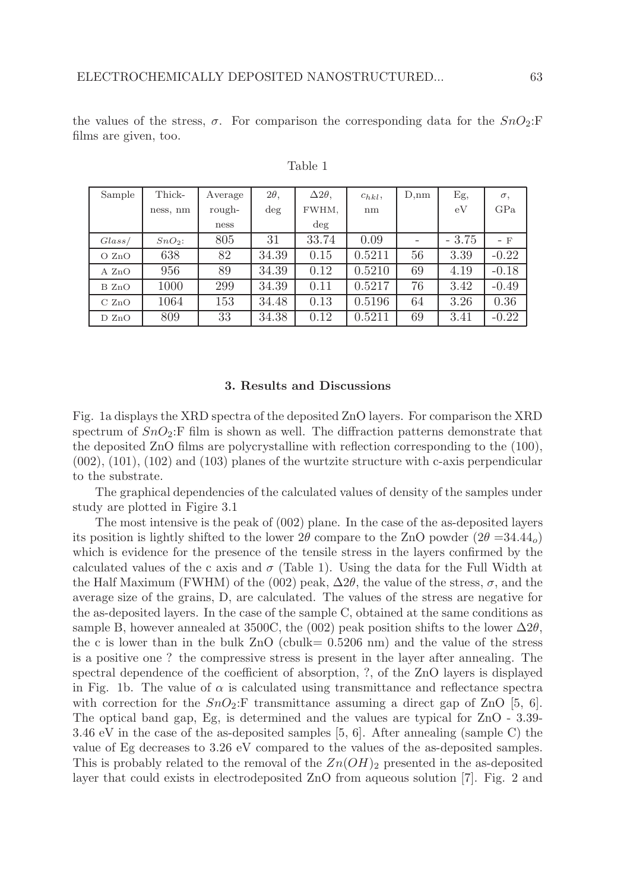the values of the stress,  $\sigma$ . For comparison the corresponding data for the  $SnO_2:$ F films are given, too.

| Sample | Thick-    | Average | $2\theta$ , | $\Delta 2\theta$ , | $c_{hkl}$ | D,nm | Eg,     | $\sigma,$ |
|--------|-----------|---------|-------------|--------------------|-----------|------|---------|-----------|
|        | ness, nm  | rough-  | $\deg$      | FWHM,              | nm        |      | eV      | GPa       |
|        |           | ness    |             | $\deg$             |           |      |         |           |
| Glass/ | $SnO_2$ : | 805     | 31          | 33.74              | 0.09      |      | $-3.75$ | $-$ F     |
| O ZnO  | 638       | 82      | 34.39       | 0.15               | 0.5211    | 56   | 3.39    | $-0.22$   |
| A ZnO  | 956       | 89      | 34.39       | 0.12               | 0.5210    | 69   | 4.19    | $-0.18$   |
| B ZnO  | 1000      | 299     | 34.39       | 0.11               | 0.5217    | 76   | 3.42    | $-0.49$   |
| C ZnO  | 1064      | 153     | 34.48       | 0.13               | 0.5196    | 64   | 3.26    | 0.36      |
| D ZnO  | 809       | 33      | 34.38       | 0.12               | 0.5211    | 69   | 3.41    | $-0.22$   |

Table 1

#### 3. Results and Discussions

Fig. 1a displays the XRD spectra of the deposited ZnO layers. For comparison the XRD spectrum of  $SnO_2$ : F film is shown as well. The diffraction patterns demonstrate that the deposited ZnO films are polycrystalline with reflection corresponding to the (100),  $(002)$ ,  $(101)$ ,  $(102)$  and  $(103)$  planes of the wurtzite structure with c-axis perpendicular to the substrate.

The graphical dependencies of the calculated values of density of the samples under study are plotted in Figire 3.1

The most intensive is the peak of (002) plane. In the case of the as-deposited layers its position is lightly shifted to the lower  $2\theta$  compare to the ZnO powder  $(2\theta = 34.44_o)$ which is evidence for the presence of the tensile stress in the layers confirmed by the calculated values of the c axis and  $\sigma$  (Table 1). Using the data for the Full Width at the Half Maximum (FWHM) of the (002) peak,  $\Delta 2\theta$ , the value of the stress,  $\sigma$ , and the average size of the grains, D, are calculated. The values of the stress are negative for the as-deposited layers. In the case of the sample C, obtained at the same conditions as sample B, however annealed at 3500C, the (002) peak position shifts to the lower  $\Delta 2\theta$ , the c is lower than in the bulk  $ZnO$  (cbulk=  $0.5206$  nm) and the value of the stress is a positive one ? the compressive stress is present in the layer after annealing. The spectral dependence of the coefficient of absorption, ?, of the ZnO layers is displayed in Fig. 1b. The value of  $\alpha$  is calculated using transmittance and reflectance spectra with correction for the  $SnO_2$ : F transmittance assuming a direct gap of ZnO [5, 6]. The optical band gap, Eg, is determined and the values are typical for ZnO - 3.39- 3.46 eV in the case of the as-deposited samples [5, 6]. After annealing (sample C) the value of Eg decreases to 3.26 eV compared to the values of the as-deposited samples. This is probably related to the removal of the  $Zn(OH)_2$  presented in the as-deposited layer that could exists in electrodeposited ZnO from aqueous solution [7]. Fig. 2 and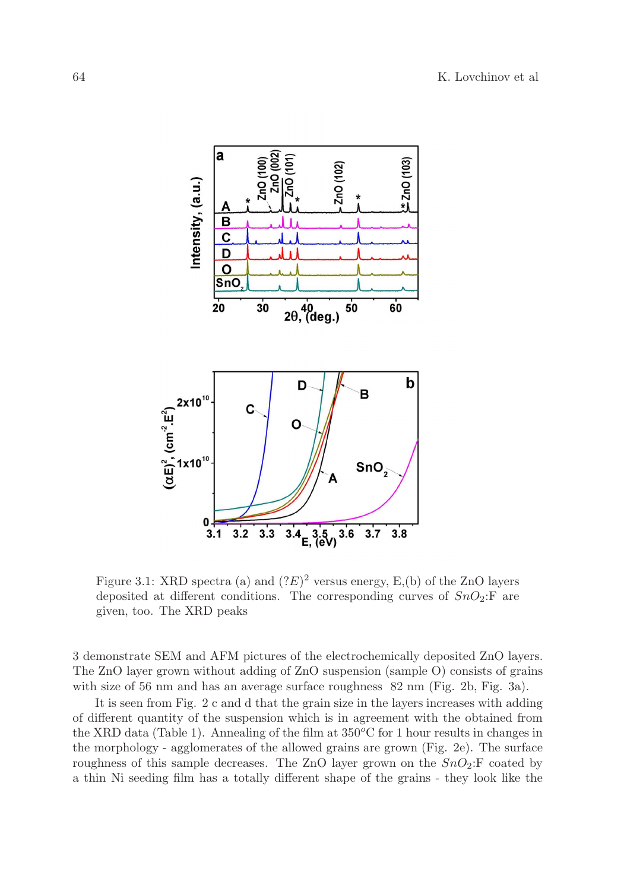

Figure 3.1: XRD spectra (a) and  $(2E)^2$  versus energy, E,(b) of the ZnO layers deposited at different conditions. The corresponding curves of  $SnO<sub>2</sub>:$  are given, too. The XRD peaks

3 demonstrate SEM and AFM pictures of the electrochemically deposited ZnO layers. The ZnO layer grown without adding of ZnO suspension (sample O) consists of grains with size of 56 nm and has an average surface roughness  $82 \text{ nm}$  (Fig. 2b, Fig. 3a).

It is seen from Fig. 2 c and d that the grain size in the layers increases with adding of different quantity of the suspension which is in agreement with the obtained from the XRD data (Table 1). Annealing of the film at  $350^{\circ}$ C for 1 hour results in changes in the morphology - agglomerates of the allowed grains are grown (Fig. 2e). The surface roughness of this sample decreases. The ZnO layer grown on the  $SnO_2:$  F coated by a thin Ni seeding film has a totally different shape of the grains - they look like the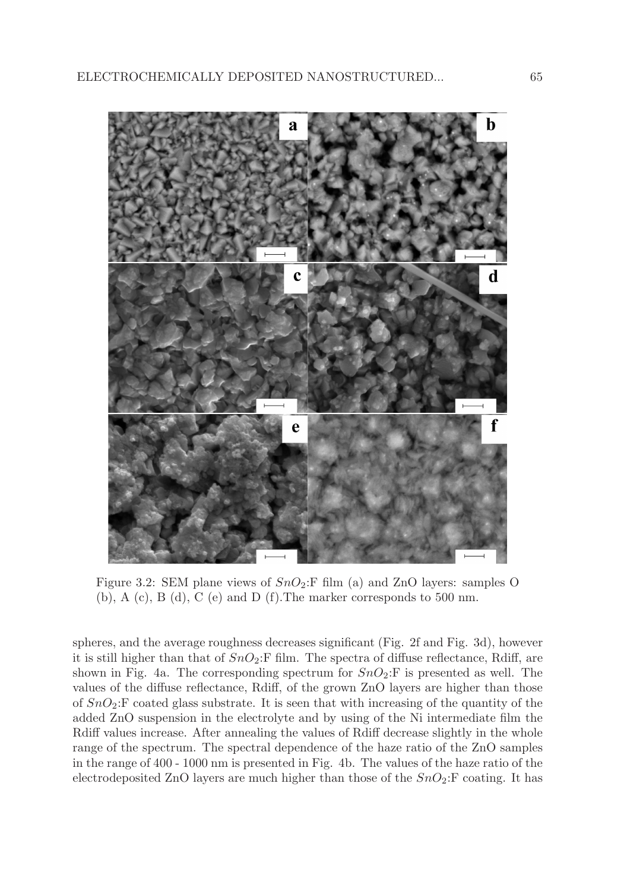

Figure 3.2: SEM plane views of  $SnO_2:$  film (a) and ZnO layers: samples O (b), A (c), B (d), C (e) and D (f). The marker corresponds to 500 nm.

spheres, and the average roughness decreases significant (Fig. 2f and Fig. 3d), however it is still higher than that of  $SnO_2:$  F film. The spectra of diffuse reflectance, Rdiff, are shown in Fig. 4a. The corresponding spectrum for  $SnO_2:$  F is presented as well. The values of the diffuse reflectance, Rdiff, of the grown ZnO layers are higher than those of  $SnO_2:$  F coated glass substrate. It is seen that with increasing of the quantity of the added ZnO suspension in the electrolyte and by using of the Ni intermediate film the Rdiff values increase. After annealing the values of Rdiff decrease slightly in the whole range of the spectrum. The spectral dependence of the haze ratio of the ZnO samples in the range of 400 - 1000 nm is presented in Fig. 4b. The values of the haze ratio of the electrodeposited ZnO layers are much higher than those of the  $SnO<sub>2</sub>:$ F coating. It has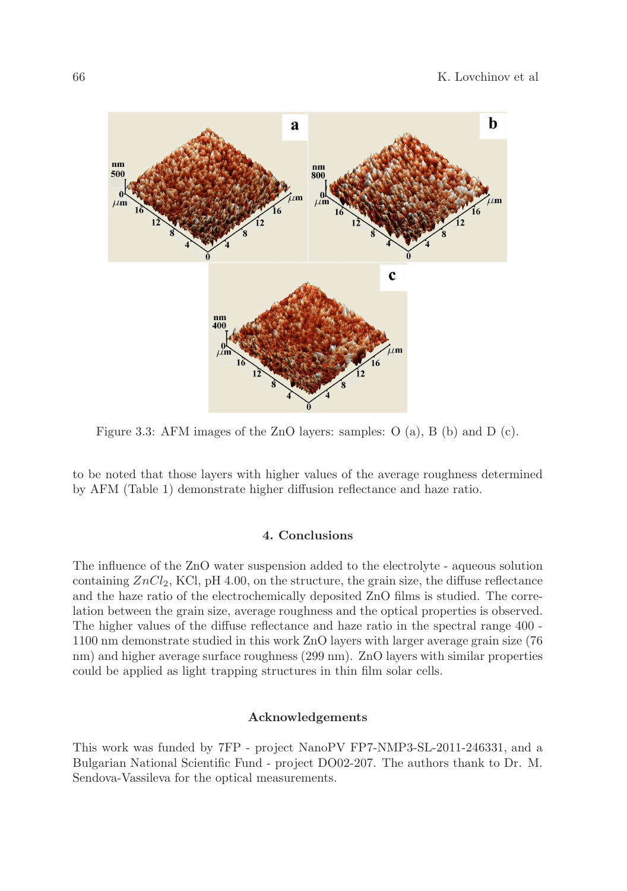

Figure 3.3: AFM images of the ZnO layers: samples: O (a), B (b) and D (c).

to be noted that those layers with higher values of the average roughness determined by AFM (Table 1) demonstrate higher diffusion reflectance and haze ratio.

## 4. Conclusions

The influence of the ZnO water suspension added to the electrolyte - aqueous solution containing  $ZnCl_2$ , KCl, pH 4.00, on the structure, the grain size, the diffuse reflectance and the haze ratio of the electrochemically deposited ZnO films is studied. The correlation between the grain size, average roughness and the optical properties is observed. The higher values of the diffuse reflectance and haze ratio in the spectral range 400 - 1100 nm demonstrate studied in this work ZnO layers with larger average grain size (76 nm) and higher average surface roughness (299 nm). ZnO layers with similar properties could be applied as light trapping structures in thin film solar cells.

## Acknowledgements

This work was funded by 7FP - project NanoPV FP7-NMP3-SL-2011-246331, and a Bulgarian National Scientific Fund - project DO02-207. The authors thank to Dr. M. Sendova-Vassileva for the optical measurements.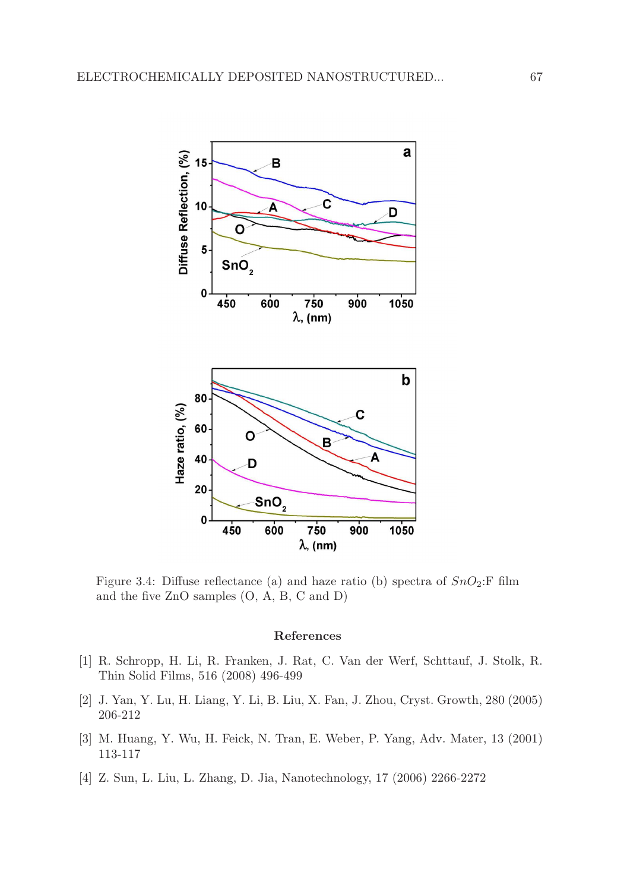

Figure 3.4: Diffuse reflectance (a) and haze ratio (b) spectra of  $SnO_2$ : F film and the five ZnO samples (O, A, B, C and D)

#### References

- [1] R. Schropp, H. Li, R. Franken, J. Rat, C. Van der Werf, Schttauf, J. Stolk, R. Thin Solid Films, 516 (2008) 496-499
- [2] J. Yan, Y. Lu, H. Liang, Y. Li, B. Liu, X. Fan, J. Zhou, Cryst. Growth, 280 (2005) 206-212
- [3] M. Huang, Y. Wu, H. Feick, N. Tran, E. Weber, P. Yang, Adv. Mater, 13 (2001) 113-117
- [4] Z. Sun, L. Liu, L. Zhang, D. Jia, Nanotechnology, 17 (2006) 2266-2272